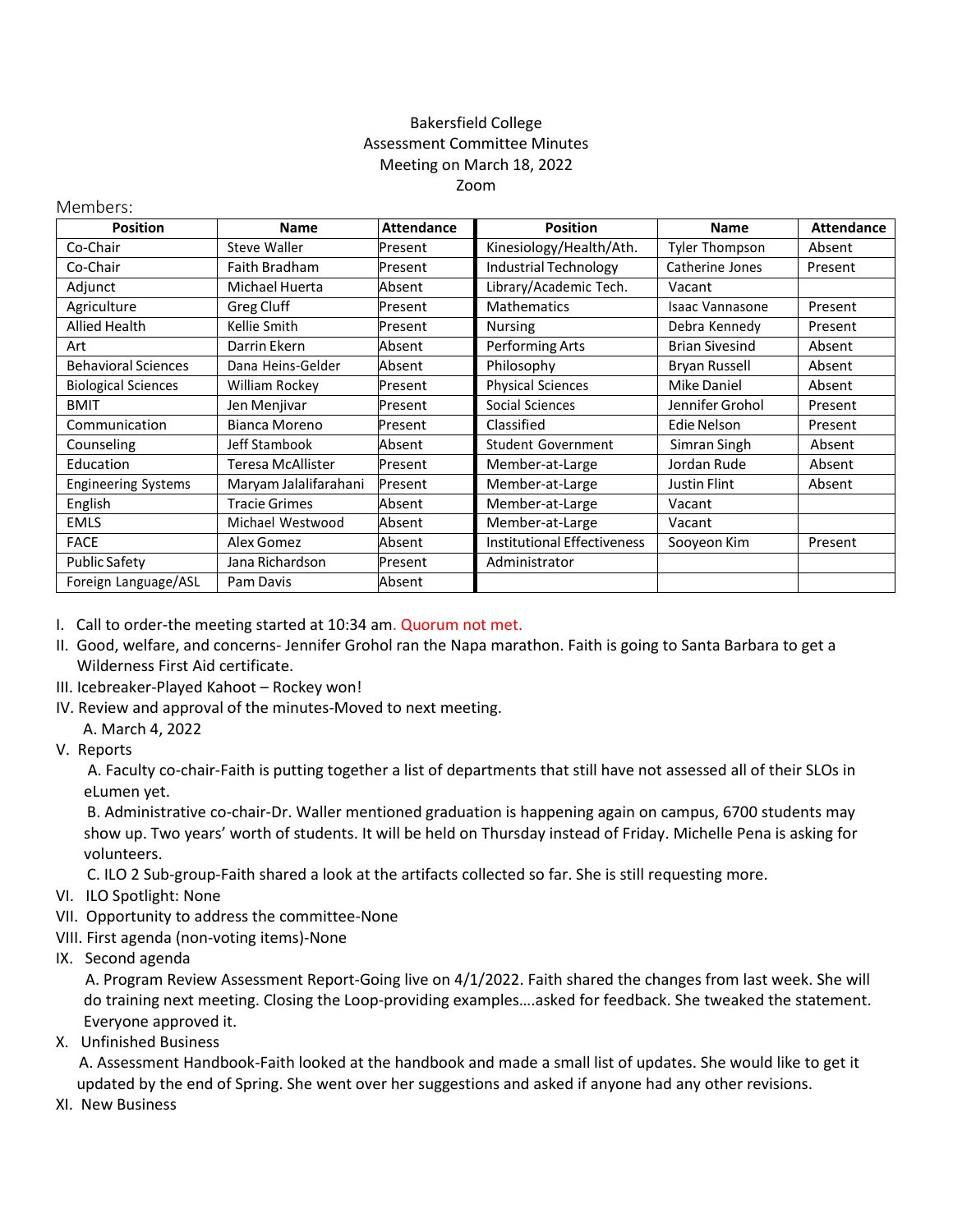## Bakersfield College Assessment Committee Minutes Meeting on March 18, 2022 Zoom

## Members:

| <b>Position</b>            | <b>Name</b>           | <b>Attendance</b> | <b>Position</b>                    | <b>Name</b>           | <b>Attendance</b> |
|----------------------------|-----------------------|-------------------|------------------------------------|-----------------------|-------------------|
| Co-Chair                   | Steve Waller          | Present           | Kinesiology/Health/Ath.            | <b>Tyler Thompson</b> | Absent            |
| Co-Chair                   | <b>Faith Bradham</b>  | Present           | Industrial Technology              | Catherine Jones       | Present           |
| Adjunct                    | Michael Huerta        | Absent            | Library/Academic Tech.             | Vacant                |                   |
| Agriculture                | Greg Cluff            | Present           | <b>Mathematics</b>                 | Isaac Vannasone       | Present           |
| Allied Health              | Kellie Smith          | Present           | <b>Nursing</b>                     | Debra Kennedy         | Present           |
| Art                        | Darrin Ekern          | Absent            | Performing Arts                    | <b>Brian Sivesind</b> | Absent            |
| <b>Behavioral Sciences</b> | Dana Heins-Gelder     | Absent            | Philosophy                         | <b>Bryan Russell</b>  | Absent            |
| <b>Biological Sciences</b> | William Rockey        | Present           | <b>Physical Sciences</b>           | <b>Mike Daniel</b>    | Absent            |
| <b>BMIT</b>                | Jen Menjivar          | Present           | Social Sciences                    | Jennifer Grohol       | Present           |
| Communication              | Bianca Moreno         | Present           | Classified                         | Edie Nelson           | Present           |
| Counseling                 | Jeff Stambook         | Absent            | <b>Student Government</b>          | Simran Singh          | Absent            |
| Education                  | Teresa McAllister     | Present           | Member-at-Large                    | Jordan Rude           | Absent            |
| <b>Engineering Systems</b> | Maryam Jalalifarahani | Present           | Member-at-Large                    | Justin Flint          | Absent            |
| English                    | <b>Tracie Grimes</b>  | Absent            | Member-at-Large                    | Vacant                |                   |
| <b>EMLS</b>                | Michael Westwood      | Absent            | Member-at-Large                    | Vacant                |                   |
| <b>FACE</b>                | Alex Gomez            | Absent            | <b>Institutional Effectiveness</b> | Sooyeon Kim           | Present           |
| <b>Public Safety</b>       | Jana Richardson       | Present           | Administrator                      |                       |                   |
| Foreign Language/ASL       | Pam Davis             | Absent            |                                    |                       |                   |

- I. Call to order-the meeting started at 10:34 am. Quorum not met.
- II. Good, welfare, and concerns- Jennifer Grohol ran the Napa marathon. Faith is going to Santa Barbara to get a Wilderness First Aid certificate.
- III. Icebreaker-Played Kahoot Rockey won!
- IV. Review and approval of the minutes-Moved to next meeting.
	- A. March 4, 2022
- V. Reports

A. Faculty co-chair-Faith is putting together a list of departments that still have not assessed all of their SLOs in eLumen yet.

 B. Administrative co-chair-Dr. Waller mentioned graduation is happening again on campus, 6700 students may show up. Two years' worth of students. It will be held on Thursday instead of Friday. Michelle Pena is asking for volunteers.

C. ILO 2 Sub-group-Faith shared a look at the artifacts collected so far. She is still requesting more.

- VI. ILO Spotlight: None
- VII. Opportunity to address the committee-None
- VIII. First agenda (non-voting items)-None
- IX. Second agenda

 A. Program Review Assessment Report-Going live on 4/1/2022. Faith shared the changes from last week. She will do training next meeting. Closing the Loop-providing examples….asked for feedback. She tweaked the statement. Everyone approved it.

X. Unfinished Business

 A. Assessment Handbook-Faith looked at the handbook and made a small list of updates. She would like to get it updated by the end of Spring. She went over her suggestions and asked if anyone had any other revisions.

XI. New Business